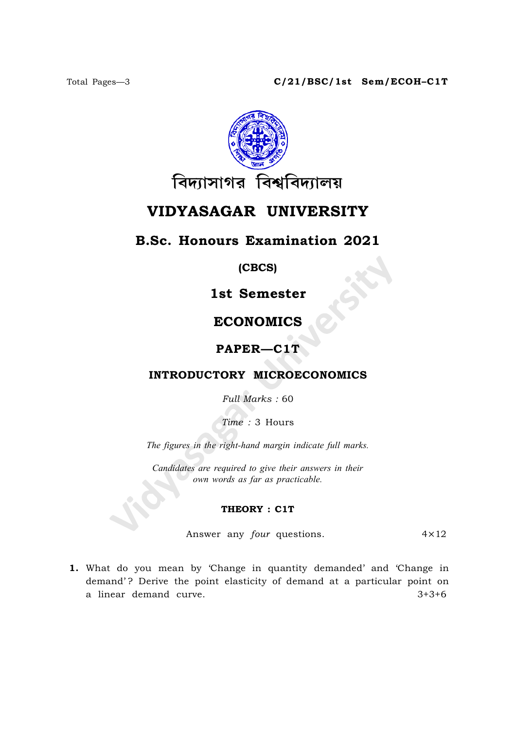

# VIDYASAGAR UNIVERSITY

# B.Sc. Honours Examination 2021

(CBCS)

1st Semester

# ECONOMICS

#### PAPER—C1T

### INTRODUCTORY MICROECONOMICS

Full Marks : 60

Time : 3 Hours

The figures in the right-hand margin indicate full marks.

Candidates are required to give their answers in their own words as far as practicable.

#### THEORY : C1T

Answer any *four* questions.  $4 \times 12$ 

1. What do you mean by 'Change in quantity demanded' and 'Change in demand'? Derive the point elasticity of demand at a particular point on a linear demand curve.  $3+3+6$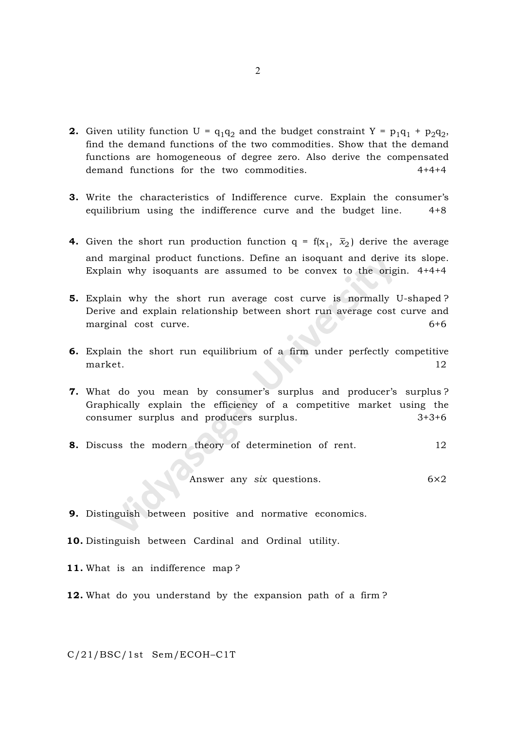- **2.** Given utility function U =  $q_1q_2$  and the budget constraint Y =  $p_1q_1 + p_2q_2$ , find the demand functions of the two commodities. Show that the demand functions are homogeneous of degree zero. Also derive the compensated demand functions for the two commodities. 4+4+4
- 3. Write the characteristics of Indifference curve. Explain the consumer's equilibrium using the indifference curve and the budget line. 4+8
- **4.** Given the short run production function  $q = f(x_1, \bar{x}_2)$  derive the average and marginal product functions. Define an isoquant and derive its slope. Explain why isoquants are assumed to be convex to the origin. 4+4+4
- 5. Explain why the short run average cost curve is normally U-shaped ? Derive and explain relationship between short run average cost curve and marginal cost curve. 6+6
- 6. Explain the short run equilibrium of a firm under perfectly competitive market. 12
- 7. What do you mean by consumer's surplus and producer's surplus ? Graphically explain the efficiency of a competitive market using the consumer surplus and producers surplus. 3+3+6
- 8. Discuss the modern theory of determinetion of rent. 12

Answer any 
$$
six
$$
 questions.  $6 \times 2$ 

- 9. Distinguish between positive and normative economics.
- 10. Distinguish between Cardinal and Ordinal utility.
- 11. What is an indifference map ?
- 12. What do you understand by the expansion path of a firm?

C/21/BSC/1st Sem/ECOH–C1T